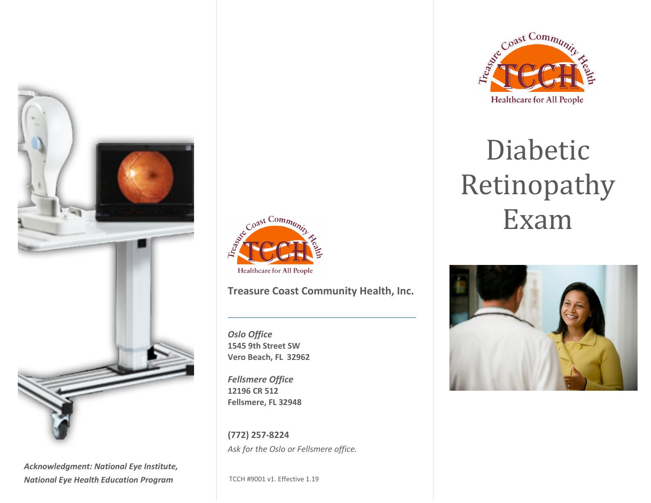

*Acknowledgment: National Eye Institute, National Eye Health Education Program*



### **Treasure Coast Community Health, Inc.**

*Oslo Office* **1545 9th Street SW Vero Beach, FL 32962**

*Fellsmere Office* **12196 CR 512 Fellsmere, FL 32948**

**(772) 257-8224** *Ask for the Oslo or Fellsmere office.*

TCCH #9001 v1. Effective 1.19



# Diabetic Retinopathy Exam

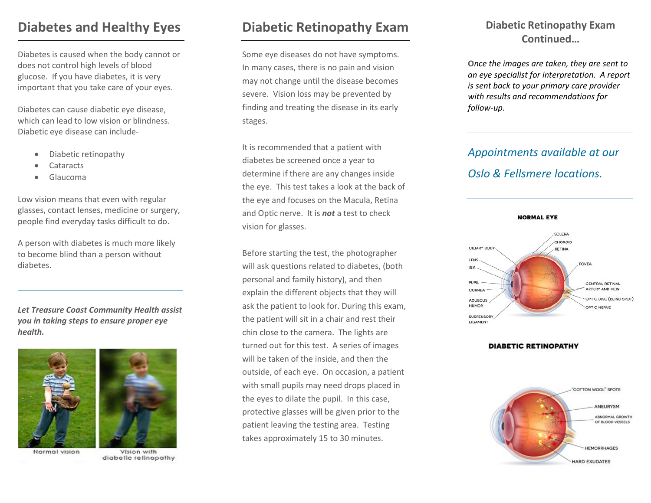## **Diabetes and Healthy Eyes**

Diabetes is caused when the body cannot or does not control high levels of blood glucose. If you have diabetes, it is very important that you take care of your eyes.

Diabetes can cause diabetic eye disease, which can lead to low vision or blindness. Diabetic eye disease can include-

- Diabetic retinopathy
- Cataracts
- Glaucoma

Low vision means that even with regular glasses, contact lenses, medicine or surgery, people find everyday tasks difficult to do.

A person with diabetes is much more likely to become blind than a person without diabetes.

*Let Treasure Coast Community Health assist you in taking steps to ensure proper eye health.*





Vision with diabetic retinopathy

## **Diabetic Retinopathy Exam**

Some eye diseases do not have symptoms. In many cases, there is no pain and vision may not change until the disease becomes severe. Vision loss may be prevented by finding and treating the disease in its early stages.

It is recommended that a patient with diabetes be screened once a year to determine if there are any changes inside the eye. This test takes a look at the back of the eye and focuses on the Macula, Retina and Optic nerve. It is *not* a test to check vision for glasses.

Before starting the test, the photographer will ask questions related to diabetes, (both personal and family history), and then explain the different objects that they will ask the patient to look for. During this exam, the patient will sit in a chair and rest their chin close to the camera. The lights are turned out for this test. A series of images will be taken of the inside, and then the outside, of each eye. On occasion, a patient with small pupils may need drops placed in the eyes to dilate the pupil. In this case, protective glasses will be given prior to the patient leaving the testing area. Testing takes approximately 15 to 30 minutes.

### **Diabetic Retinopathy Exam Continued…**

**O***nce the images are taken, they are sent to an eye specialist for interpretation. A report is sent back to your primary care provider with results and recommendations for follow-up.*

## *Appointments available at our Oslo & Fellsmere locations.*



#### **DIABETIC RETINOPATHY**

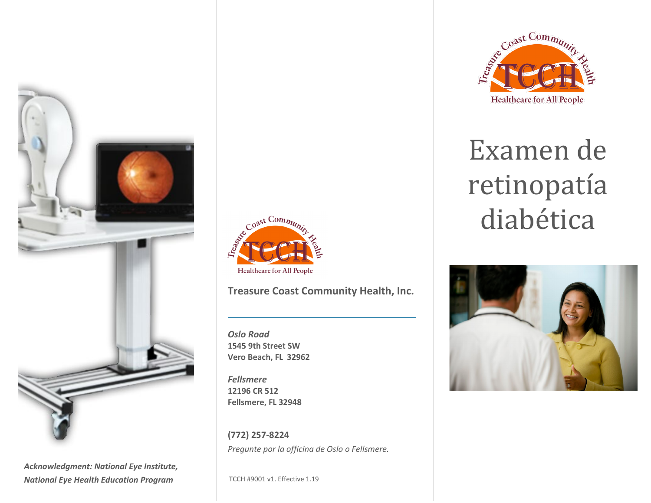

*Acknowledgment: National Eye Institute, National Eye Health Education Program*



### **Treasure Coast Community Health, Inc.**

*Oslo Road* **1545 9th Street SW Vero Beach, FL 32962**

*Fellsmere*  **12196 CR 512 Fellsmere, FL 32948**

**(772) 257-8224** *Pregunte por la officina de Oslo o Fellsmere.*

TCCH #9001 v1. Effective 1.19



# Examen de retinopatía diabética